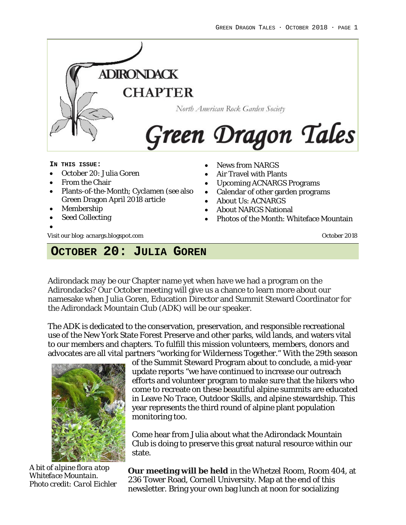

#### **IN THIS ISSUE:**

- October 20: Julia Goren
- From the Chair
- Plants-of-the-Month; Cyclamen (see also Green Dragon April 2018 article
- Membership
- Seed Collecting
- •

Visit our blog: acnargs.blogspot.com October 2018

- News from NARGS
- Air Travel with Plants
- Upcoming ACNARGS Programs
- Calendar of other garden programs
- About Us: ACNARGS
- About NARGS National
- Photos of the Month: Whiteface Mountain

# **OCTOBER 20: JULIA GOREN**

Adirondack may be our Chapter name yet when have we had a program on the Adirondacks? Our October meeting will give us a chance to learn more about our namesake when Julia Goren, Education Director and Summit Steward Coordinator for the Adirondack Mountain Club (ADK) will be our speaker.

The ADK is dedicated to the conservation, preservation, and responsible recreational use of the New York State Forest Preserve and other parks, wild lands, and waters vital to our members and chapters. To fulfill this mission volunteers, members, donors and advocates are all vital partners "working for Wilderness Together." With the 29th season



*A bit of alpine flora atop Whiteface Mountain. Photo credit: Carol Eichler*

of the Summit Steward Program about to conclude, a mid-year update reports "we have continued to increase our outreach efforts and volunteer program to make sure that the hikers who come to recreate on these beautiful alpine summits are educated in Leave No Trace, Outdoor Skills, and alpine stewardship. This year represents the third round of alpine plant population monitoring too.

Come hear from Julia about what the Adirondack Mountain Club is doing to preserve this great natural resource within our state.

**Our meeting will be held** in the Whetzel Room, Room 404, at 236 Tower Road, Cornell University. Map at the end of this newsletter. Bring your own bag lunch at noon for socializing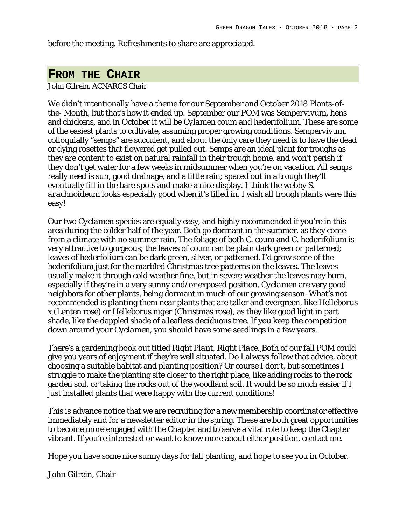before the meeting. Refreshments to share are appreciated.

## **FROM THE CHAIR**

*John Gilrein, ACNARGS Chair*

We didn't intentionally have a theme for our September and October 2018 Plants-ofthe- Month, but that's how it ended up. September our POM was *Sempervivum*, hens and chickens, and in October it will be *Cylamen coum* and *hederifolium.* These are some of the easiest plants to cultivate, assuming proper growing conditions. *Sempervivum*, colloquially "semps" are succulent, and about the only care they need is to have the dead or dying rosettes that flowered get pulled out. Semps are an ideal plant for troughs as they are content to exist on natural rainfall in their trough home, and won't perish if they don't get water for a few weeks in midsummer when you're on vacation. All semps really need is sun, good drainage, and a little rain; spaced out in a trough they'll eventually fill in the bare spots and make a nice display. I think the webby *S. arachnoideum* looks especially good when it's filled in. I wish all trough plants were this easy!

Our two *Cyclamen* species are equally easy, and highly recommended if you're in this area during the colder half of the year. Both go dormant in the summer, as they come from a climate with no summer rain. The foliage of both *C. coum* and *C. hederifolium* is very attractive to gorgeous; the leaves of *coum* can be plain dark green or patterned; leaves of *hederfolium* can be dark green, silver, or patterned. I'd grow some of the *hederifolium* just for the marbled Christmas tree patterns on the leaves. The leaves usually make it through cold weather fine, but in severe weather the leaves may burn, especially if they're in a very sunny and/or exposed position. *Cyclamen* are very good neighbors for other plants, being dormant in much of our growing season. What's not recommended is planting them near plants that are taller and evergreen, like *Helleborus x* (Lenten rose) or *Helleborus niger* (Christmas rose), as they like good light in part shade, like the dappled shade of a leafless deciduous tree. If you keep the competition down around your *Cyclamen*, you should have some seedlings in a few years.

There's a gardening book out titled *Right Plant, Right Place.* Both of our fall POM could give you years of enjoyment if they're well situated. Do I always follow that advice, about choosing a suitable habitat and planting position? Or course I don't, but sometimes I struggle to make the planting site closer to the right place, like adding rocks to the rock garden soil, or taking the rocks out of the woodland soil. It would be so much easier if I just installed plants that were happy with the current conditions!

This is advance notice that we are recruiting for a new membership coordinator effective immediately and for a newsletter editor in the spring. These are both great opportunities to become more engaged with the Chapter and to serve a vital role to keep the Chapter vibrant. If you're interested or want to know more about either position, contact me.

Hope you have some nice sunny days for fall planting, and hope to see you in October.

John Gilrein, Chair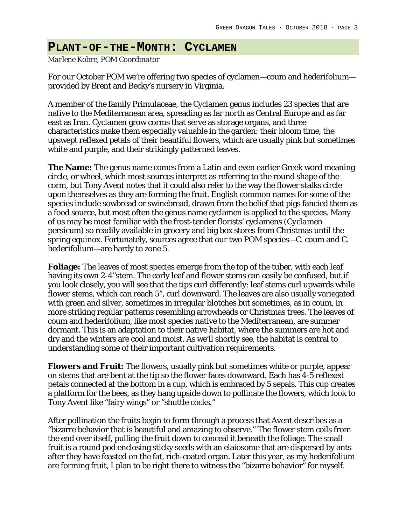## **PLANT-OF-THE-MONTH: CYCLAMEN**

*Marlene Kobre, POM Coordinator*

For our October POM we're offering two species of cyclamen—coum and hederifolium provided by Brent and Becky's nursery in Virginia.

A member of the family Primulaceae, the Cyclamen genus includes 23 species that are native to the Mediterranean area, spreading as far north as Central Europe and as far east as Iran. Cyclamen grow corms that serve as storage organs, and three characteristics make them especially valuable in the garden: their bloom time, the upswept reflexed petals of their beautiful flowers, which are usually pink but sometimes white and purple, and their strikingly patterned leaves.

**The Name:** The genus name comes from a Latin and even earlier Greek word meaning circle, or wheel, which most sources interpret as referring to the round shape of the corm, but Tony Avent notes that it could also refer to the way the flower stalks circle upon themselves as they are forming the fruit. English common names for some of the species include sowbread or swinebread, drawn from the belief that pigs fancied them as a food source, but most often the genus name cyclamen is applied to the species. Many of us may be most familiar with the frost-tender florists' cyclamens (*Cyclamen persicum*) so readily available in grocery and big box stores from Christmas until the spring equinox. Fortunately, sources agree that our two POM species—*C. coum* and *C. hederifolium*—are hardy to zone 5.

**Foliage:** The leaves of most species emerge from the top of the tuber, with each leaf having its own 2-4"stem. The early leaf and flower stems can easily be confused, but if you look closely, you will see that the tips curl differently: leaf stems curl upwards while flower stems, which can reach 5", curl downward. The leaves are also usually variegated with green and silver, sometimes in irregular blotches but sometimes, as in coum, in more striking regular patterns resembling arrowheads or Christmas trees. The leaves of coum and hederifolium, like most species native to the Mediterranean, are summer dormant. This is an adaptation to their native habitat, where the summers are hot and dry and the winters are cool and moist. As we'll shortly see, the habitat is central to understanding some of their important cultivation requirements.

**Flowers and Fruit:** The flowers, usually pink but sometimes white or purple, appear on stems that are bent at the tip so the flower faces downward. Each has 4-5 reflexed petals connected at the bottom in a cup, which is embraced by 5 sepals. This cup creates a platform for the bees, as they hang upside down to pollinate the flowers, which look to Tony Avent like "fairy wings" or "shuttle cocks."

After pollination the fruits begin to form through a process that Avent describes as a "bizarre behavior that is beautiful and amazing to observe." The flower stem coils from the end over itself, pulling the fruit down to conceal it beneath the foliage. The small fruit is a round pod enclosing sticky seeds with an elaiosome that are dispersed by ants after they have feasted on the fat, rich-coated organ. Later this year, as my hederifolium are forming fruit, I plan to be right there to witness the "bizarre behavior" for myself.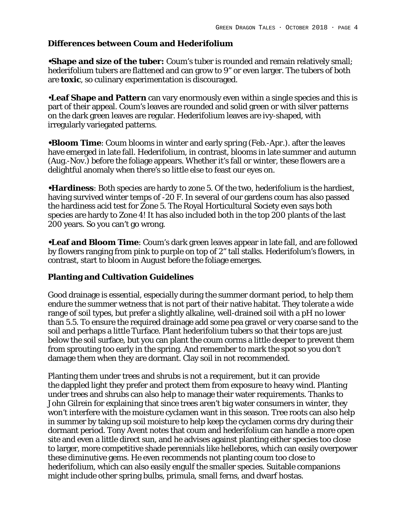### **Differences between Coum and Hederifolium**

**•Shape and size of the tuber:** Coum's tuber is rounded and remain relatively small; hederifolium tubers are flattened and can grow to 9" or even larger. The tubers of both are **toxic**, so culinary experimentation is discouraged.

•**Leaf Shape and Pattern** can vary enormously even within a single species and this is part of their appeal. Coum's leaves are rounded and solid green or with silver patterns on the dark green leaves are regular. Hederifolium leaves are ivy-shaped, with irregularly variegated patterns.

**•Bloom Time**: Coum blooms in winter and early spring (Feb.-Apr.). after the leaves have emerged in late fall. Hederifolium, in contrast, blooms in late summer and autumn (Aug.-Nov.) before the foliage appears. Whether it's fall or winter, these flowers are a delightful anomaly when there's so little else to feast our eyes on.

**•Hardiness**: Both species are hardy to zone 5. Of the two, hederifolium is the hardiest, having survived winter temps of -20 F. In several of our gardens coum has also passed the hardiness acid test for Zone 5. The Royal Horticultural Society even says both species are hardy to Zone 4! It has also included both in the top 200 plants of the last 200 years. So you can't go wrong.

**•Leaf and Bloom Time**: Coum's dark green leaves appear in late fall, and are followed by flowers ranging from pink to purple on top of 2" tall stalks. Hederifolum's flowers, in contrast, start to bloom in August before the foliage emerges.

### **Planting and Cultivation Guidelines**

Good drainage is essential, especially during the summer dormant period, to help them endure the summer wetness that is not part of their native habitat. They tolerate a wide range of soil types, but prefer a slightly alkaline, well-drained soil with a pH no lower than 5.5. To ensure the required drainage add some pea gravel or very coarse sand to the soil and perhaps a little Turface. Plant hederifolium tubers so that their tops are just below the soil surface, but you can plant the coum corms a little deeper to prevent them from sprouting too early in the spring. And remember to mark the spot so you don't damage them when they are dormant. Clay soil in not recommended.

Planting them under trees and shrubs is not a requirement, but it can provide the dappled light they prefer and protect them from exposure to heavy wind. Planting under trees and shrubs can also help to manage their water requirements. Thanks to John Gilrein for explaining that since trees aren't big water consumers in winter, they won't interfere with the moisture cyclamen want in this season. Tree roots can also help in summer by taking up soil moisture to help keep the cyclamen corms dry during their dormant period. Tony Avent notes that coum and hederifolium can handle a more open site and even a little direct sun, and he advises against planting either species too close to larger, more competitive shade perennials like hellebores, which can easily overpower these diminutive gems. He even recommends not planting coum too close to hederifolium, which can also easily engulf the smaller species. Suitable companions might include other spring bulbs, primula, small ferns, and dwarf hostas.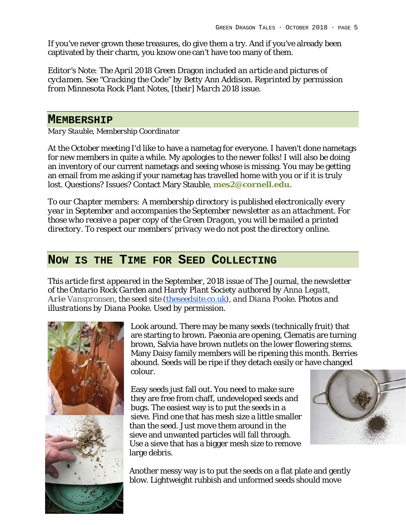If you've never grown these treasures, do give them a try. And if you've already been captivated by their charm, you know one can't have too many of them.

*Editor's Note: The April 2018* Green Dragon *included an article and pictures of cyclamen. See "Cracking the Code" by Betty Ann Addison. Reprinted by permission from* Minnesota Rock Plant Notes*, [their] March 2018 issue.*

### **MEMBERSHIP**

*Mary Stauble, Membership Coordinator*

At the October meeting I'd like to have a nametag for everyone. I haven't done nametags for new members in quite a while. My apologies to the newer folks! I will also be doing an inventory of our current nametags and seeing whose is missing. You may be getting an email from me asking if your nametag has travelled home with you or if it is truly lost. Questions? Issues? Contact Mary Stauble, **[mes2@cornell.edu.](mailto:mes2@cornell.edu)**

*To our Chapter members: A membership directory is published electronically every year in September and accompanies the September newsletter as an attachment. For those who receive a paper copy of the Green Dragon, you will be mailed a printed directory. To respect our members' privacy we do not post the directory online.*

## **NOW IS THE TIME FOR SEED COLLECTING**

*This article first appeared in the September, 2018 issue of* The Journal*, the newsletter of the Ontario Rock Garden and Hardy Plant Society authored by Anna Legatt, Arie Vanspronsen, the seed site [\(theseedsite.co.uk\)](http://theseedsite.co.uk/), and Diana Pooke. Photos and illustrations by Diana Pooke. Used by permission.*



Look around. There may be many seeds (technically fruit) that are starting to brown. Paeonia are opening, Clematis are turning brown, Salvia have brown nutlets on the lower flowering stems. Many Daisy family members will be ripening this month. Berries abound. Seeds will be ripe if they detach easily or have changed colour.

Easy seeds just fall out. You need to make sure they are free from chaff, undeveloped seeds and bugs. The easiest way is to put the seeds in a sieve. Find one that has mesh size a little smaller than the seed. Just move them around in the sieve and unwanted particles will fall through. Use a sieve that has a bigger mesh size to remove large debris.



Another messy way is to put the seeds on a flat plate and gently blow. Lightweight rubbish and unformed seeds should move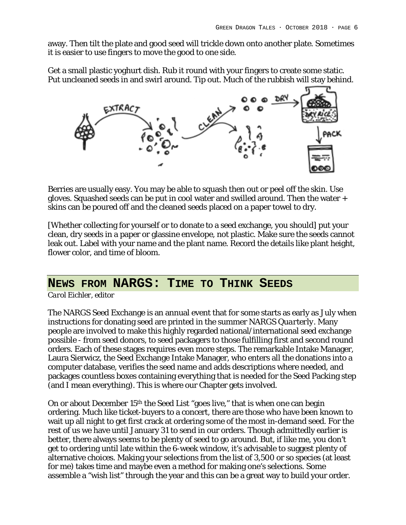away. Then tilt the plate and good seed will trickle down onto another plate. Sometimes it is easier to use fingers to move the good to one side.

Get a small plastic yoghurt dish. Rub it round with your fingers to create some static. Put uncleaned seeds in and swirl around. Tip out. Much of the rubbish will stay behind.



Berries are usually easy. You may be able to squash then out or peel off the skin. Use gloves. Squashed seeds can be put in cool water and swilled around. Then the water + skins can be poured off and the cleaned seeds placed on a paper towel to dry.

[Whether collecting for yourself or to donate to a seed exchange, you should] put your clean, dry seeds in a paper or glassine envelope, not plastic. Make sure the seeds cannot leak out. Label with your name and the plant name. Record the details like plant height, flower color, and time of bloom.

## **NEWS FROM NARGS: TIME TO THINK SEEDS**

*Carol Eichler, editor*

The NARGS Seed Exchange is an annual event that for some starts as early as July when instructions for donating seed are printed in the summer NARGS *Quarterly*. Many people are involved to make this highly regarded national/international seed exchange possible - from seed donors, to seed packagers to those fulfilling first and second round orders. Each of these stages requires even more steps. The remarkable Intake Manager, Laura Sierwicz, the Seed Exchange Intake Manager, who enters all the donations into a computer database, verifies the seed name and adds descriptions where needed, and packages countless boxes containing everything that is needed for the Seed Packing step (and I mean everything). This is where our Chapter gets involved.

On or about December 15th the Seed List "goes live," that is when one can begin ordering. Much like ticket-buyers to a concert, there are those who have been known to wait up all night to get first crack at ordering some of the most in-demand seed. For the rest of us we have until January 31 to send in our orders. Though admittedly earlier is better, there always seems to be plenty of seed to go around. But, if like me, you don't get to ordering until late within the 6-week window, it's advisable to suggest plenty of alternative choices. Making your selections from the list of 3,500 or so species (at least for me) takes time and maybe even a method for making one's selections. Some assemble a "wish list" through the year and this can be a great way to build your order.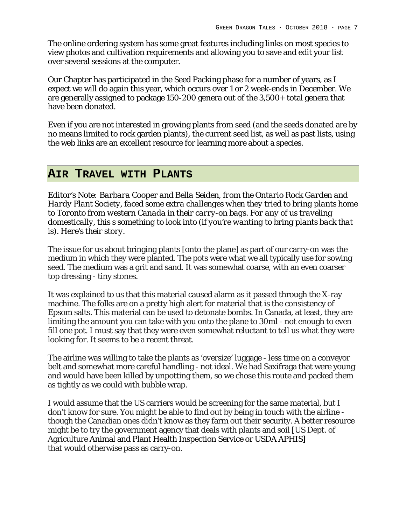The online ordering system has some great features including links on most species to view photos and cultivation requirements and allowing you to save and edit your list over several sessions at the computer.

Our Chapter has participated in the Seed Packing phase for a number of years, as I expect we will do again this year, which occurs over 1 or 2 week-ends in December. We are generally assigned to package 150-200 genera out of the 3,500+ total genera that have been donated.

Even if you are not interested in growing plants from seed (and the seeds donated are by no means limited to rock garden plants), the current seed list, as well as past lists, using the web links are an excellent resource for learning more about a species.

### **AIR TRAVEL WITH PLANTS**

*Editor's Note: Barbara Cooper and Bella Seiden, from the Ontario Rock Garden and Hardy Plant Society, faced some extra challenges when they tried to bring plants home to Toronto from western Canada in their carry-on bags. For any of us traveling domestically, this s something to look into (if you're wanting to bring plants back that is). Here's their story.*

The issue for us about bringing plants [onto the plane] as part of our carry-on was the medium in which they were planted. The pots were what we all typically use for sowing seed. The medium was a grit and sand. It was somewhat coarse, with an even coarser top dressing - tiny stones.

It was explained to us that this material caused alarm as it passed through the X-ray machine. The folks are on a pretty high alert for material that is the consistency of Epsom salts. This material can be used to detonate bombs. In Canada, at least, they are limiting the amount you can take with you onto the plane to 30ml - not enough to even fill one pot. I must say that they were even somewhat reluctant to tell us what they were looking for. It seems to be a recent threat.

The airline was willing to take the plants as 'oversize' luggage - less time on a conveyor belt and somewhat more careful handling - not ideal. We had Saxifraga that were young and would have been killed by unpotting them, so we chose this route and packed them as tightly as we could with bubble wrap.

I would assume that the US carriers would be screening for the same material, but I don't know for sure. You might be able to find out by being in touch with the airline though the Canadian ones didn't know as they farm out their security. A better resource might be to try the government agency that deals with plants and soil [US Dept. of Agriculture Animal and Plant Health Inspection Service or USDA APHIS] that would otherwise pass as carry-on.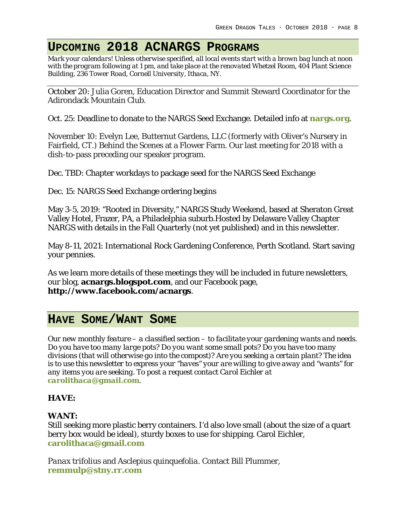# **UPCOMING 2018 ACNARGS PROGRAMS**

*Mark your calendars! Unless otherwise specified, all local events start with a brown bag lunch at noon with the program following at 1 pm, and take place at the renovated Whetzel Room, 404 Plant Science Building, 236 Tower Road, Cornell University, Ithaca, NY.*

October 20: Julia Goren, Education Director and Summit Steward Coordinator for the Adirondack Mountain Club*.*

Oct. 25: Deadline to donate to the NARGS Seed Exchange. Detailed info at **nargs.org**.

November 10: Evelyn Lee, Butternut Gardens, LLC (formerly with Oliver's Nursery in Fairfield, CT.) Behind the Scenes at a Flower Farm. Our last meeting for 2018 with a dish-to-pass preceding our speaker program.

Dec. TBD: Chapter workdays to package seed for the NARGS Seed Exchange

Dec. 15: NARGS Seed Exchange ordering begins

May 3-5, 2019: "Rooted in Diversity," NARGS Study Weekend, based at Sheraton Great Valley Hotel, Frazer, PA, a Philadelphia suburb.Hosted by Delaware Valley Chapter NARGS with details in the Fall Quarterly (not yet published) and in this newsletter.

May 8-11, 2021: International Rock Gardening Conference, Perth Scotland. Start saving your pennies.

As we learn more details of these meetings they will be included in future newsletters, our blog, **[acnargs.blogspot.com](http://acnargs.blogspot.com/)**, and our Facebook page, **[http://www.facebook.com/acnargs](http://acnargs.blogspot.com/)**.

## **HAVE SOME/WANT SOME**

*Our new monthly feature – a classified section – to facilitate your gardening wants and needs. Do you have too many large pots? Do you want some small pots? Do you have too many divisions (that will otherwise go into the compost)? Are you seeking a certain plant? The idea is to use this newsletter to express your "haves" your are willing to give away and "wants" for any items you are seeking. To post a request contact Carol Eichler at [carolithaca@gmail.com](mailto:carolithaca@gmail.com).* 

### **HAVE:**

### **WANT:**

Still seeking more plastic berry containers. I'd also love small (about the size of a quart berry box would be ideal), sturdy boxes to use for shipping. Carol Eichler, **[carolithaca@gmail.com](mailto:carolithaca@gmail.com)**

*Panax trifolius* and *Asclepius quinquefolia*. Contact Bill Plummer, **[remmulp@stny.rr.com](mailto:remmulp@stny.rr.com)**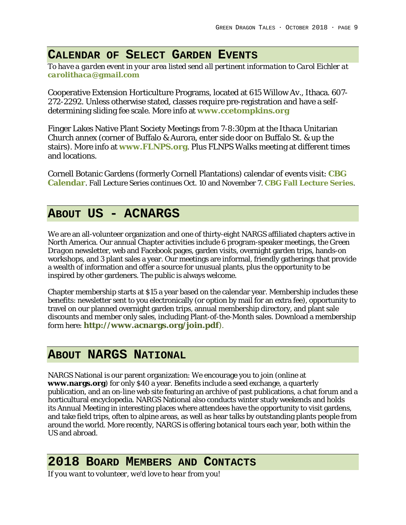## **CALENDAR OF SELECT GARDEN EVENTS**

*To have a garden event in your area listed send all pertinent information to Carol Eichler at [carolithaca@gmail.com](mailto:carolithaca@gmail.com)*

Cooperative Extension Horticulture Programs, located at 615 Willow Av., Ithaca. 607- 272-2292. Unless otherwise stated, classes require pre-registration and have a selfdetermining sliding fee scale. More info at **[www.ccetompkins.org](http://www.ccetompkins.org/)**

Finger Lakes Native Plant Society Meetings from 7-8:30pm at the Ithaca Unitarian Church annex (corner of Buffalo & Aurora, enter side door on Buffalo St. & up the stairs). More info at **[www.FLNPS.org](http://www.flnps.org/)**. Plus FLNPS Walks meeting at different times and locations.

Cornell Botanic Gardens (formerly Cornell Plantations) calendar of events visit: **[CBG](http://www.ssreg.com/cornellplantations/calendar.asp?page=Calendar)  [Calendar](http://www.ssreg.com/cornellplantations/calendar.asp?page=Calendar)**. Fall Lecture Series continues Oct. 10 and November 7. **[CBG Fall Lecture Series](https://www.cornellbotanicgardens.org/learning/lectures)**.

# **ABOUT US - ACNARGS**

We are an all-volunteer organization and one of thirty-eight NARGS affiliated chapters active in North America. Our annual Chapter activities include 6 program-speaker meetings, the *Green Dragon* newsletter, web and Facebook pages, garden visits, overnight garden trips, hands-on workshops, and 3 plant sales a year. Our meetings are informal, friendly gatherings that provide a wealth of information and offer a source for unusual plants, plus the opportunity to be inspired by other gardeners. The public is always welcome.

Chapter membership starts at \$15 a year based on the calendar year. Membership includes these benefits: newsletter sent to you electronically (or option by mail for an extra fee), opportunity to travel on our planned overnight garden trips, annual membership directory, and plant sale discounts and member only sales, including Plant-of-the-Month sales. Download a membership form here: **<http://www.acnargs.org/join.pdf>**).

## **ABOUT NARGS NATIONAL**

NARGS National is our parent organization: We encourage you to join (online at **[www.nargs.org](http://www.nargs.org/)**) for only \$40 a year. Benefits include a seed exchange, a quarterly publication, and an on-line web site featuring an archive of past publications, a chat forum and a horticultural encyclopedia. NARGS National also conducts winter study weekends and holds its Annual Meeting in interesting places where attendees have the opportunity to visit gardens, and take field trips, often to alpine areas, as well as hear talks by outstanding plants people from around the world. More recently, NARGS is offering botanical tours each year, both within the US and abroad.

## **2018 BOARD MEMBERS AND CONTACTS**

*If you want to volunteer, we'd love to hear from you!*